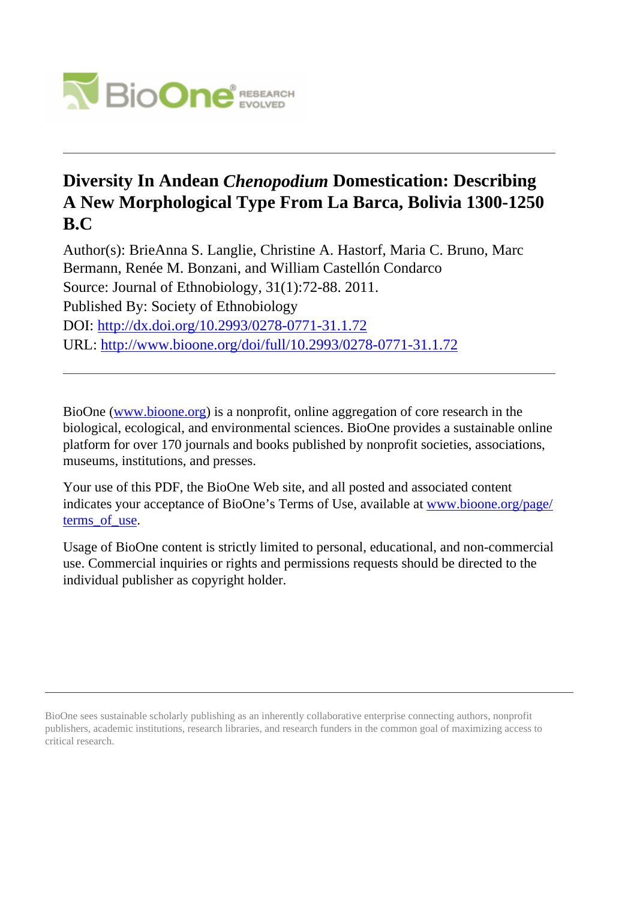

# **Diversity In Andean** *Chenopodium* **Domestication: Describing A New Morphological Type From La Barca, Bolivia 1300-1250 B.C**

Author(s): BrieAnna S. Langlie, Christine A. Hastorf, Maria C. Bruno, Marc Bermann, Renée M. Bonzani, and William Castellón Condarco Source: Journal of Ethnobiology, 31(1):72-88. 2011. Published By: Society of Ethnobiology DOI:<http://dx.doi.org/10.2993/0278-0771-31.1.72> URL: <http://www.bioone.org/doi/full/10.2993/0278-0771-31.1.72>

BioOne [\(www.bioone.org\)](http://www.bioone.org) is a nonprofit, online aggregation of core research in the biological, ecological, and environmental sciences. BioOne provides a sustainable online platform for over 170 journals and books published by nonprofit societies, associations, museums, institutions, and presses.

Your use of this PDF, the BioOne Web site, and all posted and associated content indicates your acceptance of BioOne's Terms of Use, available at [www.bioone.org/page/](http://www.bioone.org/page/terms_of_use) terms of use.

Usage of BioOne content is strictly limited to personal, educational, and non-commercial use. Commercial inquiries or rights and permissions requests should be directed to the individual publisher as copyright holder.

BioOne sees sustainable scholarly publishing as an inherently collaborative enterprise connecting authors, nonprofit publishers, academic institutions, research libraries, and research funders in the common goal of maximizing access to critical research.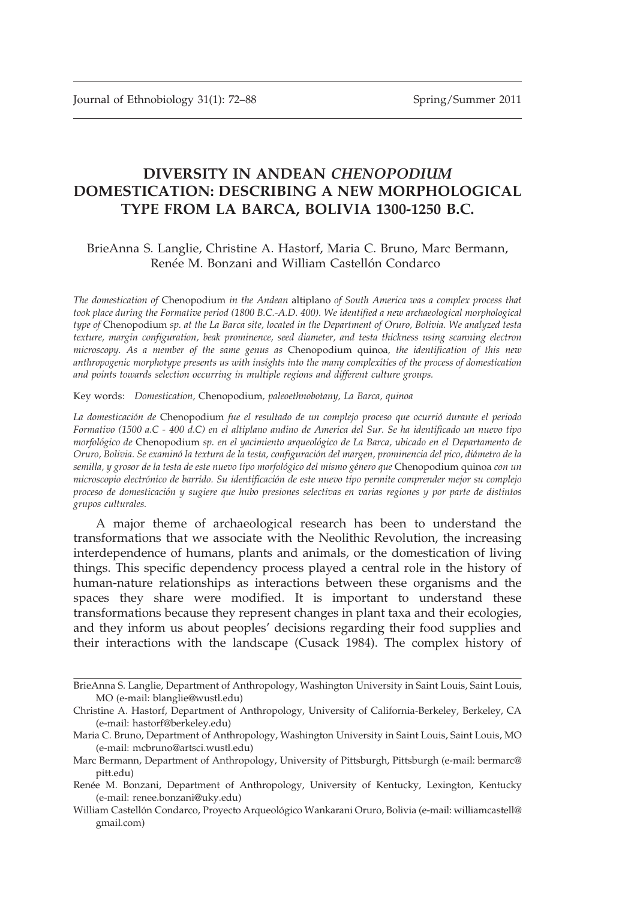## DIVERSITY IN ANDEAN CHENOPODIUM DOMESTICATION: DESCRIBING A NEW MORPHOLOGICAL TYPE FROM LA BARCA, BOLIVIA 1300-1250 B.C.

## BrieAnna S. Langlie, Christine A. Hastorf, Maria C. Bruno, Marc Bermann, Renée M. Bonzani and William Castellón Condarco

The domestication of Chenopodium in the Andean altiplano of South America was a complex process that took place during the Formative period (1800 B.C.-A.D. 400). We identified a new archaeological morphological type of Chenopodium sp. at the La Barca site, located in the Department of Oruro, Bolivia. We analyzed testa texture, margin configuration, beak prominence, seed diameter, and testa thickness using scanning electron microscopy. As a member of the same genus as Chenopodium quinoa, the identification of this new anthropogenic morphotype presents us with insights into the many complexities of the process of domestication and points towards selection occurring in multiple regions and different culture groups.

Key words: Domestication, Chenopodium, paleoethnobotany, La Barca, quinoa

La domesticación de Chenopodium fue el resultado de un complejo proceso que ocurrió durante el periodo Formativo (1500 a.C - 400 d.C) en el altiplano andino de America del Sur. Se ha identificado un nuevo tipo morfológico de Chenopodium sp. en el yacimiento arqueológico de La Barca, ubicado en el Departamento de Oruro, Bolivia. Se examinó la textura de la testa, configuración del margen, prominencia del pico, diámetro de la semilla, y grosor de la testa de este nuevo tipo morfológico del mismo género que Chenopodium quinoa con un microscopio electrónico de barrido. Su identificación de este nuevo tipo permite comprender mejor su complejo proceso de domesticación y sugiere que hubo presiones selectivas en varias regiones y por parte de distintos grupos culturales.

A major theme of archaeological research has been to understand the transformations that we associate with the Neolithic Revolution, the increasing interdependence of humans, plants and animals, or the domestication of living things. This specific dependency process played a central role in the history of human-nature relationships as interactions between these organisms and the spaces they share were modified. It is important to understand these transformations because they represent changes in plant taxa and their ecologies, and they inform us about peoples' decisions regarding their food supplies and their interactions with the landscape (Cusack 1984). The complex history of

BrieAnna S. Langlie, Department of Anthropology, Washington University in Saint Louis, Saint Louis, MO (e-mail: blanglie@wustl.edu)

Christine A. Hastorf, Department of Anthropology, University of California-Berkeley, Berkeley, CA (e-mail: hastorf@berkeley.edu)

Maria C. Bruno, Department of Anthropology, Washington University in Saint Louis, Saint Louis, MO (e-mail: mcbruno@artsci.wustl.edu)

Marc Bermann, Department of Anthropology, University of Pittsburgh, Pittsburgh (e-mail: bermarc@ pitt.edu)

Renée M. Bonzani, Department of Anthropology, University of Kentucky, Lexington, Kentucky (e-mail: renee.bonzani@uky.edu)

William Castellón Condarco, Proyecto Arqueológico Wankarani Oruro, Bolivia (e-mail: williamcastell@ gmail.com)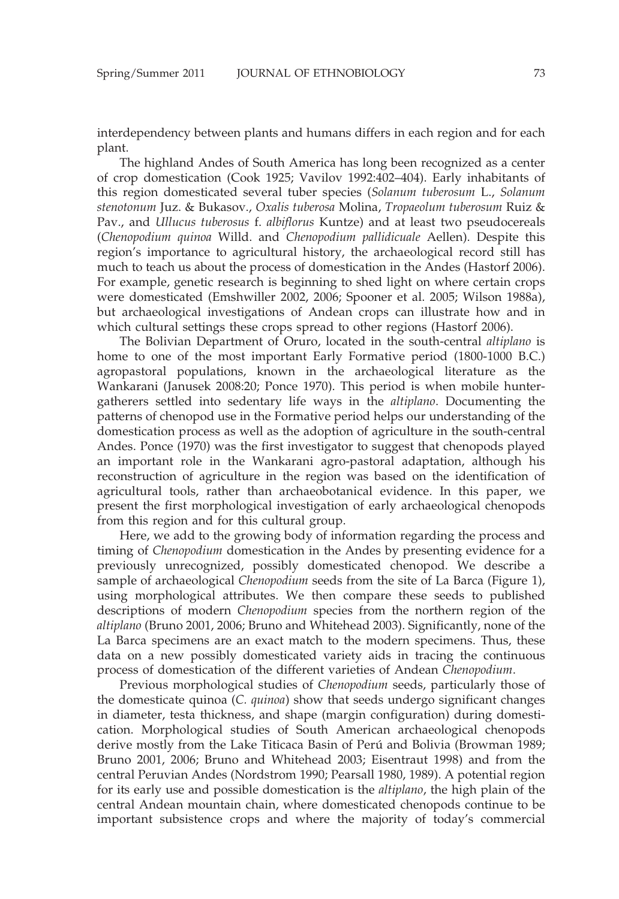interdependency between plants and humans differs in each region and for each plant.

The highland Andes of South America has long been recognized as a center of crop domestication (Cook 1925; Vavilov 1992:402–404). Early inhabitants of this region domesticated several tuber species (Solanum tuberosum L., Solanum stenotonum Juz. & Bukasov., Oxalis tuberosa Molina, Tropaeolum tuberosum Ruiz & Pav., and Ullucus tuberosus f. albiflorus Kuntze) and at least two pseudocereals (Chenopodium quinoa Willd. and Chenopodium pallidicuale Aellen). Despite this region's importance to agricultural history, the archaeological record still has much to teach us about the process of domestication in the Andes (Hastorf 2006). For example, genetic research is beginning to shed light on where certain crops were domesticated (Emshwiller 2002, 2006; Spooner et al. 2005; Wilson 1988a), but archaeological investigations of Andean crops can illustrate how and in which cultural settings these crops spread to other regions (Hastorf 2006).

The Bolivian Department of Oruro, located in the south-central *altiplano* is home to one of the most important Early Formative period (1800-1000 B.C.) agropastoral populations, known in the archaeological literature as the Wankarani (Janusek 2008:20; Ponce 1970). This period is when mobile huntergatherers settled into sedentary life ways in the altiplano. Documenting the patterns of chenopod use in the Formative period helps our understanding of the domestication process as well as the adoption of agriculture in the south-central Andes. Ponce (1970) was the first investigator to suggest that chenopods played an important role in the Wankarani agro-pastoral adaptation, although his reconstruction of agriculture in the region was based on the identification of agricultural tools, rather than archaeobotanical evidence. In this paper, we present the first morphological investigation of early archaeological chenopods from this region and for this cultural group.

Here, we add to the growing body of information regarding the process and timing of Chenopodium domestication in the Andes by presenting evidence for a previously unrecognized, possibly domesticated chenopod. We describe a sample of archaeological *Chenopodium* seeds from the site of La Barca (Figure 1), using morphological attributes. We then compare these seeds to published descriptions of modern Chenopodium species from the northern region of the altiplano (Bruno 2001, 2006; Bruno and Whitehead 2003). Significantly, none of the La Barca specimens are an exact match to the modern specimens. Thus, these data on a new possibly domesticated variety aids in tracing the continuous process of domestication of the different varieties of Andean Chenopodium.

Previous morphological studies of Chenopodium seeds, particularly those of the domesticate quinoa (C. quinoa) show that seeds undergo significant changes in diameter, testa thickness, and shape (margin configuration) during domestication. Morphological studies of South American archaeological chenopods derive mostly from the Lake Titicaca Basin of Perú and Bolivia (Browman 1989; Bruno 2001, 2006; Bruno and Whitehead 2003; Eisentraut 1998) and from the central Peruvian Andes (Nordstrom 1990; Pearsall 1980, 1989). A potential region for its early use and possible domestication is the altiplano, the high plain of the central Andean mountain chain, where domesticated chenopods continue to be important subsistence crops and where the majority of today's commercial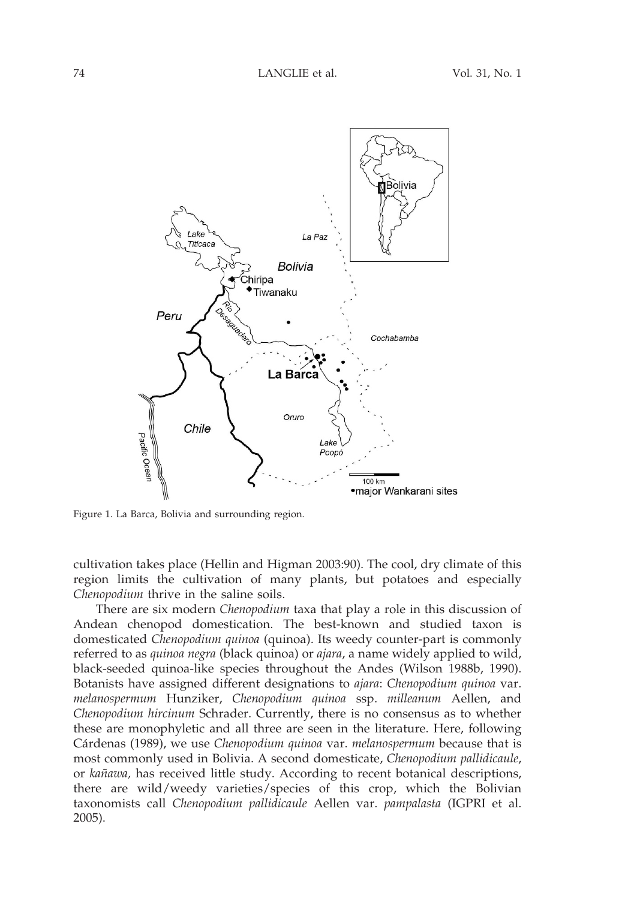

Figure 1. La Barca, Bolivia and surrounding region.

cultivation takes place (Hellin and Higman 2003:90). The cool, dry climate of this region limits the cultivation of many plants, but potatoes and especially Chenopodium thrive in the saline soils.

There are six modern Chenopodium taxa that play a role in this discussion of Andean chenopod domestication. The best-known and studied taxon is domesticated Chenopodium quinoa (quinoa). Its weedy counter-part is commonly referred to as quinoa negra (black quinoa) or ajara, a name widely applied to wild, black-seeded quinoa-like species throughout the Andes (Wilson 1988b, 1990). Botanists have assigned different designations to ajara: Chenopodium quinoa var. melanospermum Hunziker, Chenopodium quinoa ssp. milleanum Aellen, and Chenopodium hircinum Schrader. Currently, there is no consensus as to whether these are monophyletic and all three are seen in the literature. Here, following Cárdenas (1989), we use Chenopodium quinoa var. melanospermum because that is most commonly used in Bolivia. A second domesticate, Chenopodium pallidicaule, or kañawa, has received little study. According to recent botanical descriptions, there are wild/weedy varieties/species of this crop, which the Bolivian taxonomists call Chenopodium pallidicaule Aellen var. pampalasta (IGPRI et al. 2005).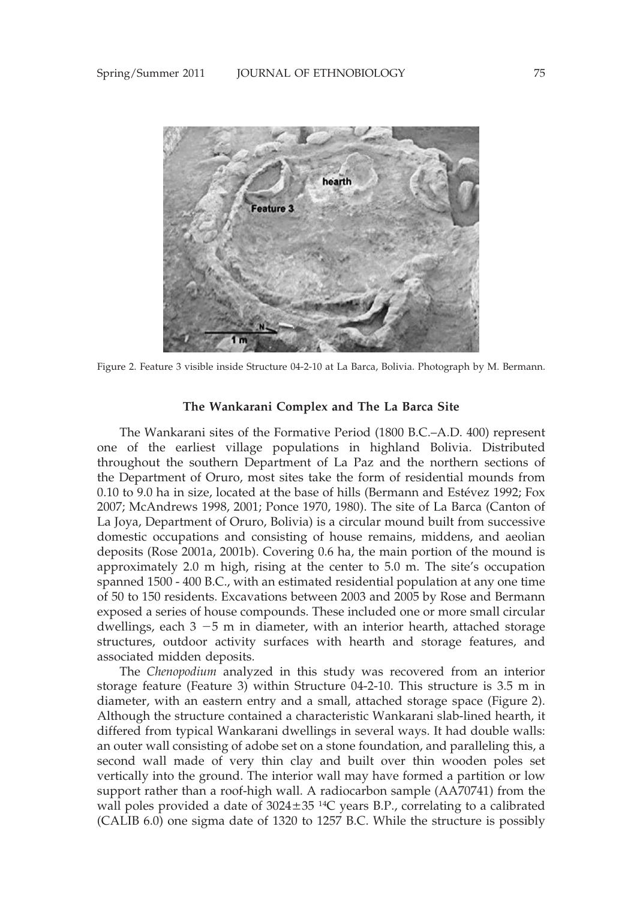

Figure 2. Feature 3 visible inside Structure 04-2-10 at La Barca, Bolivia. Photograph by M. Bermann.

## The Wankarani Complex and The La Barca Site

The Wankarani sites of the Formative Period (1800 B.C.–A.D. 400) represent one of the earliest village populations in highland Bolivia. Distributed throughout the southern Department of La Paz and the northern sections of the Department of Oruro, most sites take the form of residential mounds from  $0.10$  to  $9.0$  ha in size, located at the base of hills (Bermann and Estévez 1992; Fox 2007; McAndrews 1998, 2001; Ponce 1970, 1980). The site of La Barca (Canton of La Joya, Department of Oruro, Bolivia) is a circular mound built from successive domestic occupations and consisting of house remains, middens, and aeolian deposits (Rose 2001a, 2001b). Covering 0.6 ha, the main portion of the mound is approximately 2.0 m high, rising at the center to 5.0 m. The site's occupation spanned 1500 - 400 B.C., with an estimated residential population at any one time of 50 to 150 residents. Excavations between 2003 and 2005 by Rose and Bermann exposed a series of house compounds. These included one or more small circular dwellings, each  $3 - 5$  m in diameter, with an interior hearth, attached storage structures, outdoor activity surfaces with hearth and storage features, and associated midden deposits.

The Chenopodium analyzed in this study was recovered from an interior storage feature (Feature 3) within Structure 04-2-10. This structure is 3.5 m in diameter, with an eastern entry and a small, attached storage space (Figure 2). Although the structure contained a characteristic Wankarani slab-lined hearth, it differed from typical Wankarani dwellings in several ways. It had double walls: an outer wall consisting of adobe set on a stone foundation, and paralleling this, a second wall made of very thin clay and built over thin wooden poles set vertically into the ground. The interior wall may have formed a partition or low support rather than a roof-high wall. A radiocarbon sample (AA70741) from the wall poles provided a date of  $3024 \pm 35$  <sup>14</sup>C years B.P., correlating to a calibrated (CALIB 6.0) one sigma date of 1320 to 1257 B.C. While the structure is possibly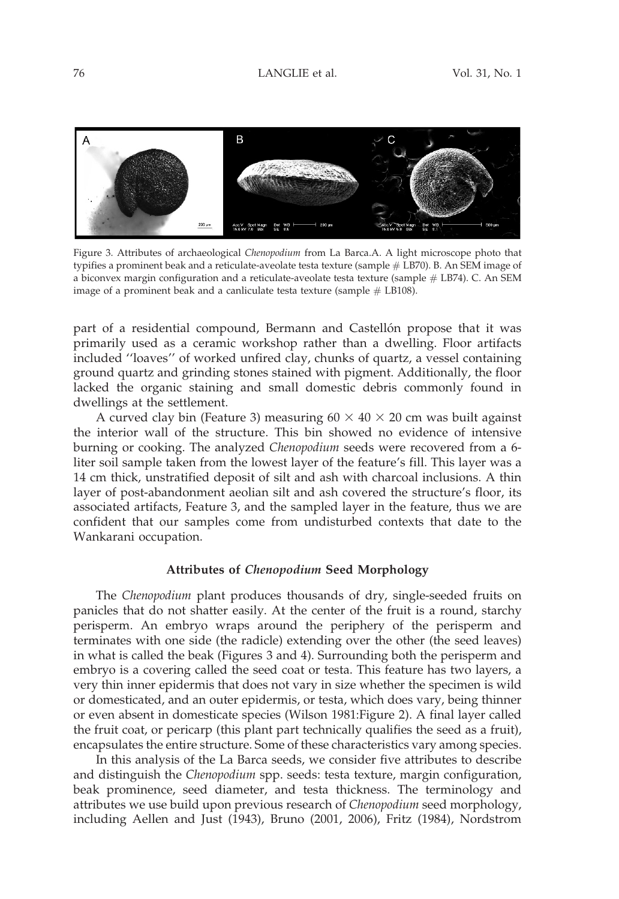

Figure 3. Attributes of archaeological Chenopodium from La Barca.A. A light microscope photo that typifies a prominent beak and a reticulate-aveolate testa texture (sample # LB70). B. An SEM image of a biconvex margin configuration and a reticulate-aveolate testa texture (sample # LB74). C. An SEM image of a prominent beak and a canliculate testa texture (sample  $#$  LB108).

part of a residential compound, Bermann and Castellón propose that it was primarily used as a ceramic workshop rather than a dwelling. Floor artifacts included ''loaves'' of worked unfired clay, chunks of quartz, a vessel containing ground quartz and grinding stones stained with pigment. Additionally, the floor lacked the organic staining and small domestic debris commonly found in dwellings at the settlement.

A curved clay bin (Feature 3) measuring  $60 \times 40 \times 20$  cm was built against the interior wall of the structure. This bin showed no evidence of intensive burning or cooking. The analyzed Chenopodium seeds were recovered from a 6liter soil sample taken from the lowest layer of the feature's fill. This layer was a 14 cm thick, unstratified deposit of silt and ash with charcoal inclusions. A thin layer of post-abandonment aeolian silt and ash covered the structure's floor, its associated artifacts, Feature 3, and the sampled layer in the feature, thus we are confident that our samples come from undisturbed contexts that date to the Wankarani occupation.

#### Attributes of Chenopodium Seed Morphology

The Chenopodium plant produces thousands of dry, single-seeded fruits on panicles that do not shatter easily. At the center of the fruit is a round, starchy perisperm. An embryo wraps around the periphery of the perisperm and terminates with one side (the radicle) extending over the other (the seed leaves) in what is called the beak (Figures 3 and 4). Surrounding both the perisperm and embryo is a covering called the seed coat or testa. This feature has two layers, a very thin inner epidermis that does not vary in size whether the specimen is wild or domesticated, and an outer epidermis, or testa, which does vary, being thinner or even absent in domesticate species (Wilson 1981:Figure 2). A final layer called the fruit coat, or pericarp (this plant part technically qualifies the seed as a fruit), encapsulates the entire structure. Some of these characteristics vary among species.

In this analysis of the La Barca seeds, we consider five attributes to describe and distinguish the Chenopodium spp. seeds: testa texture, margin configuration, beak prominence, seed diameter, and testa thickness. The terminology and attributes we use build upon previous research of *Chenopodium* seed morphology, including Aellen and Just (1943), Bruno (2001, 2006), Fritz (1984), Nordstrom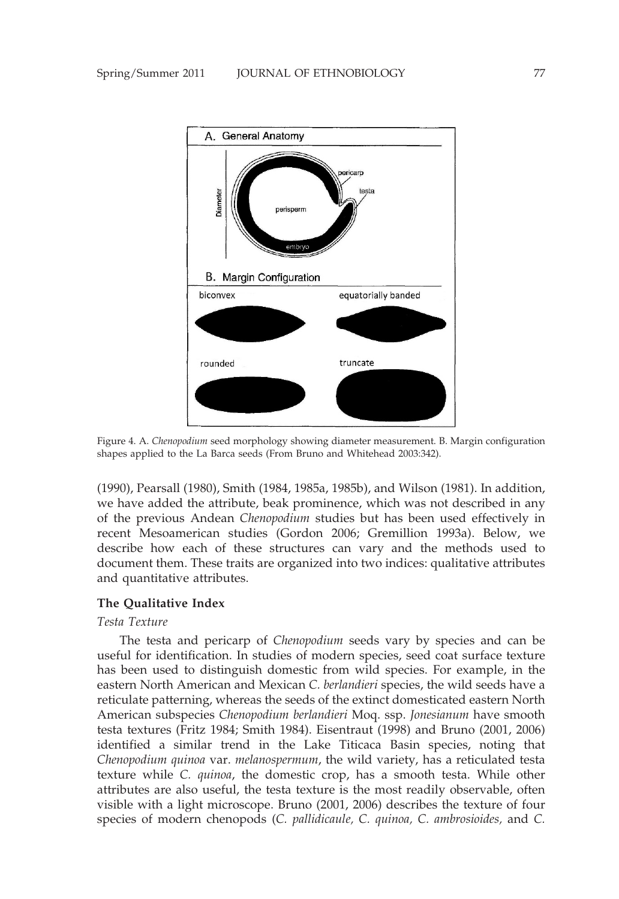

Figure 4. A. Chenopodium seed morphology showing diameter measurement. B. Margin configuration shapes applied to the La Barca seeds (From Bruno and Whitehead 2003:342).

(1990), Pearsall (1980), Smith (1984, 1985a, 1985b), and Wilson (1981). In addition, we have added the attribute, beak prominence, which was not described in any of the previous Andean Chenopodium studies but has been used effectively in recent Mesoamerican studies (Gordon 2006; Gremillion 1993a). Below, we describe how each of these structures can vary and the methods used to document them. These traits are organized into two indices: qualitative attributes and quantitative attributes.

## The Qualitative Index

## Testa Texture

The testa and pericarp of Chenopodium seeds vary by species and can be useful for identification. In studies of modern species, seed coat surface texture has been used to distinguish domestic from wild species. For example, in the eastern North American and Mexican C. berlandieri species, the wild seeds have a reticulate patterning, whereas the seeds of the extinct domesticated eastern North American subspecies Chenopodium berlandieri Moq. ssp. Jonesianum have smooth testa textures (Fritz 1984; Smith 1984). Eisentraut (1998) and Bruno (2001, 2006) identified a similar trend in the Lake Titicaca Basin species, noting that Chenopodium quinoa var. melanospermum, the wild variety, has a reticulated testa texture while C. quinoa, the domestic crop, has a smooth testa. While other attributes are also useful, the testa texture is the most readily observable, often visible with a light microscope. Bruno (2001, 2006) describes the texture of four species of modern chenopods (C. pallidicaule, C. quinoa, C. ambrosioides, and C.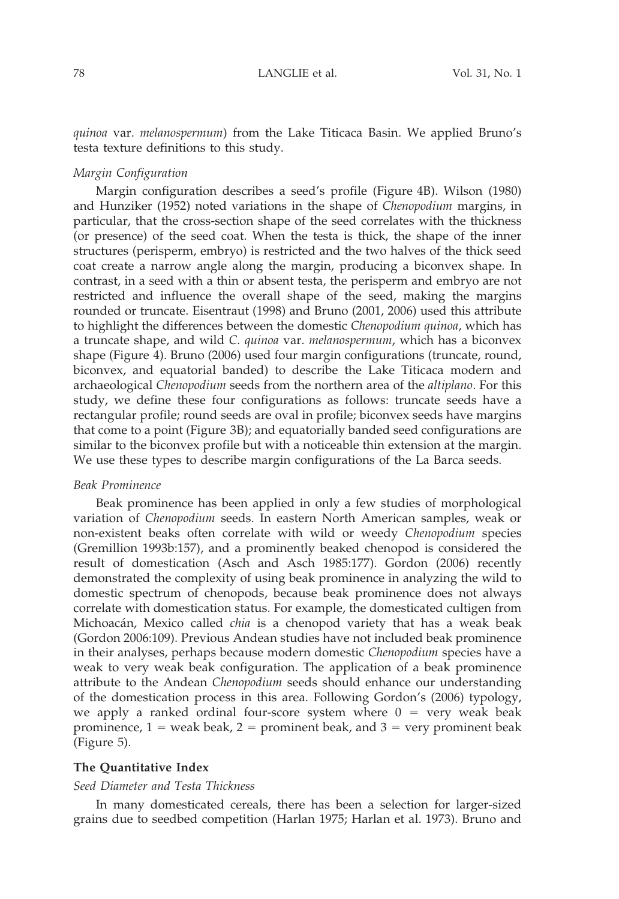quinoa var. melanospermum) from the Lake Titicaca Basin. We applied Bruno's testa texture definitions to this study.

#### Margin Configuration

Margin configuration describes a seed's profile (Figure 4B). Wilson (1980) and Hunziker (1952) noted variations in the shape of Chenopodium margins, in particular, that the cross-section shape of the seed correlates with the thickness (or presence) of the seed coat. When the testa is thick, the shape of the inner structures (perisperm, embryo) is restricted and the two halves of the thick seed coat create a narrow angle along the margin, producing a biconvex shape. In contrast, in a seed with a thin or absent testa, the perisperm and embryo are not restricted and influence the overall shape of the seed, making the margins rounded or truncate. Eisentraut (1998) and Bruno (2001, 2006) used this attribute to highlight the differences between the domestic Chenopodium quinoa, which has a truncate shape, and wild C. quinoa var. melanospermum, which has a biconvex shape (Figure 4). Bruno (2006) used four margin configurations (truncate, round, biconvex, and equatorial banded) to describe the Lake Titicaca modern and archaeological Chenopodium seeds from the northern area of the altiplano. For this study, we define these four configurations as follows: truncate seeds have a rectangular profile; round seeds are oval in profile; biconvex seeds have margins that come to a point (Figure 3B); and equatorially banded seed configurations are similar to the biconvex profile but with a noticeable thin extension at the margin. We use these types to describe margin configurations of the La Barca seeds.

#### Beak Prominence

Beak prominence has been applied in only a few studies of morphological variation of Chenopodium seeds. In eastern North American samples, weak or non-existent beaks often correlate with wild or weedy Chenopodium species (Gremillion 1993b:157), and a prominently beaked chenopod is considered the result of domestication (Asch and Asch 1985:177). Gordon (2006) recently demonstrated the complexity of using beak prominence in analyzing the wild to domestic spectrum of chenopods, because beak prominence does not always correlate with domestication status. For example, the domesticated cultigen from Michoacán, Mexico called chia is a chenopod variety that has a weak beak (Gordon 2006:109). Previous Andean studies have not included beak prominence in their analyses, perhaps because modern domestic Chenopodium species have a weak to very weak beak configuration. The application of a beak prominence attribute to the Andean Chenopodium seeds should enhance our understanding of the domestication process in this area. Following Gordon's (2006) typology, we apply a ranked ordinal four-score system where  $0 = \text{very weak}$  beak prominence,  $1 =$  weak beak,  $2 =$  prominent beak, and  $3 =$  very prominent beak (Figure 5).

## The Quantitative Index

#### Seed Diameter and Testa Thickness

In many domesticated cereals, there has been a selection for larger-sized grains due to seedbed competition (Harlan 1975; Harlan et al. 1973). Bruno and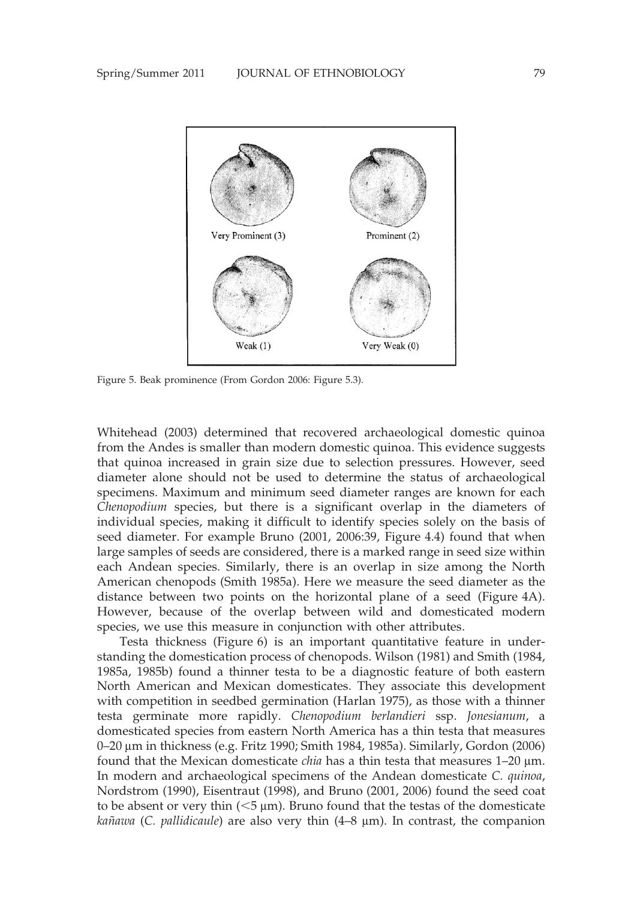

Figure 5. Beak prominence (From Gordon 2006: Figure 5.3).

Whitehead (2003) determined that recovered archaeological domestic quinoa from the Andes is smaller than modern domestic quinoa. This evidence suggests that quinoa increased in grain size due to selection pressures. However, seed diameter alone should not be used to determine the status of archaeological specimens. Maximum and minimum seed diameter ranges are known for each Chenopodium species, but there is a significant overlap in the diameters of individual species, making it difficult to identify species solely on the basis of seed diameter. For example Bruno (2001, 2006:39, Figure 4.4) found that when large samples of seeds are considered, there is a marked range in seed size within each Andean species. Similarly, there is an overlap in size among the North American chenopods (Smith 1985a). Here we measure the seed diameter as the distance between two points on the horizontal plane of a seed (Figure 4A). However, because of the overlap between wild and domesticated modern species, we use this measure in conjunction with other attributes.

Testa thickness (Figure 6) is an important quantitative feature in understanding the domestication process of chenopods. Wilson (1981) and Smith (1984, 1985a, 1985b) found a thinner testa to be a diagnostic feature of both eastern North American and Mexican domesticates. They associate this development with competition in seedbed germination (Harlan 1975), as those with a thinner testa germinate more rapidly. Chenopodium berlandieri ssp. Jonesianum, a domesticated species from eastern North America has a thin testa that measures 0–20 mm in thickness (e.g. Fritz 1990; Smith 1984, 1985a). Similarly, Gordon (2006) found that the Mexican domesticate *chia* has a thin testa that measures  $1-20 \mu m$ . In modern and archaeological specimens of the Andean domesticate C. quinoa, Nordstrom (1990), Eisentraut (1998), and Bruno (2001, 2006) found the seed coat to be absent or very thin  $(<5 \mu m)$ . Bruno found that the testas of the domesticate *kañawa* (C. *pallidicaule*) are also very thin  $(4-8 \mu m)$ . In contrast, the companion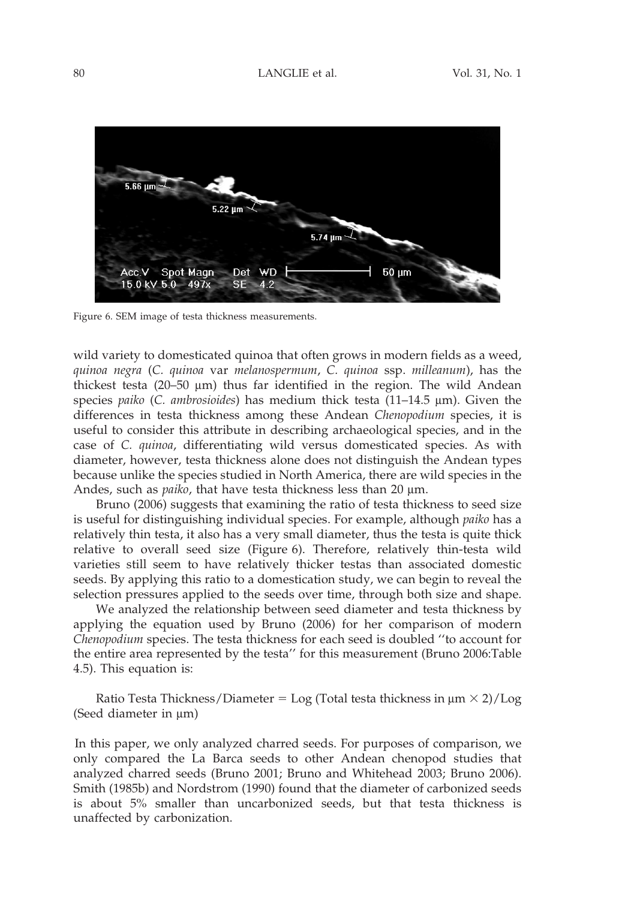

Figure 6. SEM image of testa thickness measurements.

wild variety to domesticated quinoa that often grows in modern fields as a weed, quinoa negra (C. quinoa var melanospermum, C. quinoa ssp. milleanum), has the thickest testa (20–50  $\mu$ m) thus far identified in the region. The wild Andean species *paiko* (*C. ambrosioides*) has medium thick testa  $(11-14.5 \mu m)$ . Given the differences in testa thickness among these Andean Chenopodium species, it is useful to consider this attribute in describing archaeological species, and in the case of C. quinoa, differentiating wild versus domesticated species. As with diameter, however, testa thickness alone does not distinguish the Andean types because unlike the species studied in North America, there are wild species in the Andes, such as *paiko*, that have testa thickness less than 20 µm.

Bruno (2006) suggests that examining the ratio of testa thickness to seed size is useful for distinguishing individual species. For example, although *paiko* has a relatively thin testa, it also has a very small diameter, thus the testa is quite thick relative to overall seed size (Figure 6). Therefore, relatively thin-testa wild varieties still seem to have relatively thicker testas than associated domestic seeds. By applying this ratio to a domestication study, we can begin to reveal the selection pressures applied to the seeds over time, through both size and shape.

We analyzed the relationship between seed diameter and testa thickness by applying the equation used by Bruno (2006) for her comparison of modern Chenopodium species. The testa thickness for each seed is doubled ''to account for the entire area represented by the testa'' for this measurement (Bruno 2006:Table 4.5). This equation is:

Ratio Testa Thickness/Diameter = Log (Total testa thickness in  $\mu$ m  $\times$  2)/Log (Seed diameter in  $\mu$ m)

In this paper, we only analyzed charred seeds. For purposes of comparison, we only compared the La Barca seeds to other Andean chenopod studies that analyzed charred seeds (Bruno 2001; Bruno and Whitehead 2003; Bruno 2006). Smith (1985b) and Nordstrom (1990) found that the diameter of carbonized seeds is about 5% smaller than uncarbonized seeds, but that testa thickness is unaffected by carbonization.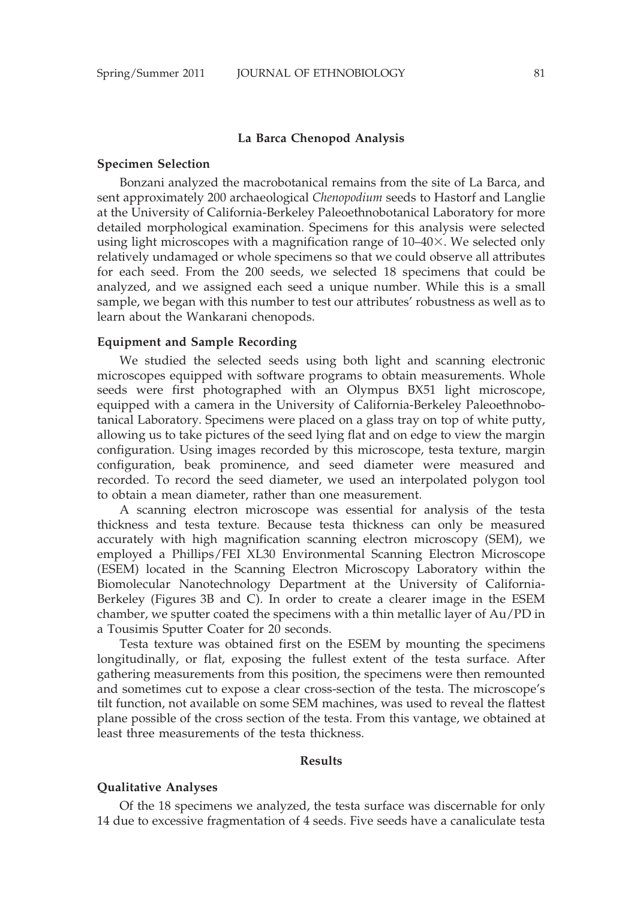#### La Barca Chenopod Analysis

#### Specimen Selection

Bonzani analyzed the macrobotanical remains from the site of La Barca, and sent approximately 200 archaeological Chenopodium seeds to Hastorf and Langlie at the University of California-Berkeley Paleoethnobotanical Laboratory for more detailed morphological examination. Specimens for this analysis were selected using light microscopes with a magnification range of  $10-40\times$ . We selected only relatively undamaged or whole specimens so that we could observe all attributes for each seed. From the 200 seeds, we selected 18 specimens that could be analyzed, and we assigned each seed a unique number. While this is a small sample, we began with this number to test our attributes' robustness as well as to learn about the Wankarani chenopods.

## Equipment and Sample Recording

We studied the selected seeds using both light and scanning electronic microscopes equipped with software programs to obtain measurements. Whole seeds were first photographed with an Olympus BX51 light microscope, equipped with a camera in the University of California-Berkeley Paleoethnobotanical Laboratory. Specimens were placed on a glass tray on top of white putty, allowing us to take pictures of the seed lying flat and on edge to view the margin configuration. Using images recorded by this microscope, testa texture, margin configuration, beak prominence, and seed diameter were measured and recorded. To record the seed diameter, we used an interpolated polygon tool to obtain a mean diameter, rather than one measurement.

A scanning electron microscope was essential for analysis of the testa thickness and testa texture. Because testa thickness can only be measured accurately with high magnification scanning electron microscopy (SEM), we employed a Phillips/FEI XL30 Environmental Scanning Electron Microscope (ESEM) located in the Scanning Electron Microscopy Laboratory within the Biomolecular Nanotechnology Department at the University of California-Berkeley (Figures 3B and C). In order to create a clearer image in the ESEM chamber, we sputter coated the specimens with a thin metallic layer of Au/PD in a Tousimis Sputter Coater for 20 seconds.

Testa texture was obtained first on the ESEM by mounting the specimens longitudinally, or flat, exposing the fullest extent of the testa surface. After gathering measurements from this position, the specimens were then remounted and sometimes cut to expose a clear cross-section of the testa. The microscope's tilt function, not available on some SEM machines, was used to reveal the flattest plane possible of the cross section of the testa. From this vantage, we obtained at least three measurements of the testa thickness.

#### Results

#### Qualitative Analyses

Of the 18 specimens we analyzed, the testa surface was discernable for only 14 due to excessive fragmentation of 4 seeds. Five seeds have a canaliculate testa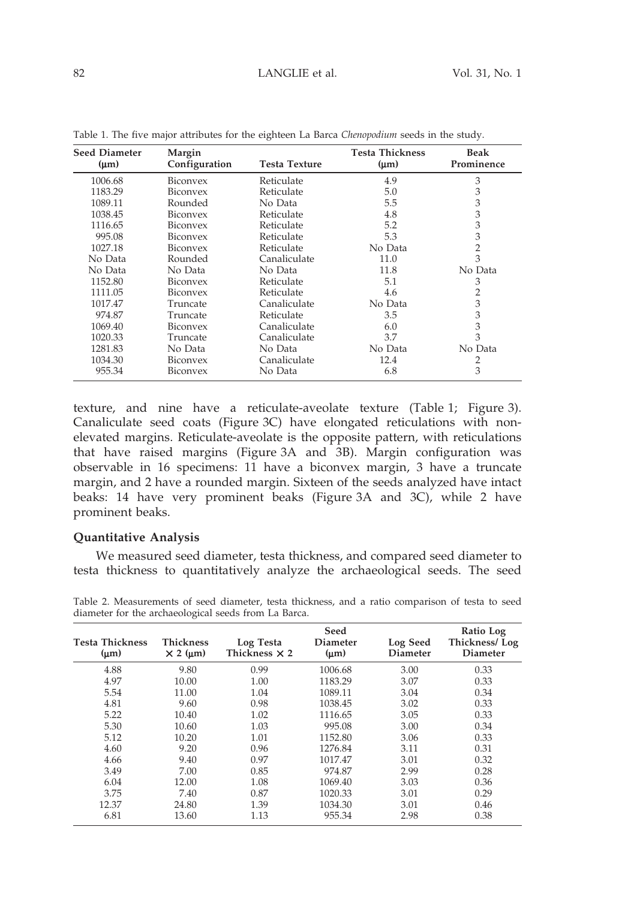## 82 LANGLIE et al. Vol. 31, No. 1

| <b>Seed Diameter</b><br>$(\mu m)$ | Margin<br>Configuration | Testa Texture | <b>Testa Thickness</b><br>$(\mu m)$ | <b>Beak</b><br>Prominence |
|-----------------------------------|-------------------------|---------------|-------------------------------------|---------------------------|
| 1006.68                           | Biconvex                | Reticulate    | 4.9                                 | 3                         |
| 1183.29                           | Biconvex                | Reticulate    | 5.0                                 | 3                         |
| 1089.11                           | Rounded                 | No Data       | 5.5                                 | 3                         |
| 1038.45                           | Biconvex                | Reticulate    | 4.8                                 | 3                         |
| 1116.65                           | Biconvex                | Reticulate    | 5.2                                 | 3                         |
| 995.08                            | Biconvex                | Reticulate    | 5.3                                 | 3                         |
| 1027.18                           | Biconvex                | Reticulate    | No Data                             | 2                         |
| No Data                           | Rounded                 | Canaliculate  | 11.0                                | 3                         |
| No Data                           | No Data                 | No Data       | 11.8                                | No Data                   |
| 1152.80                           | Biconvex                | Reticulate    | 5.1                                 | 3                         |
| 1111.05                           | Biconvex                | Reticulate    | 4.6                                 | 2                         |
| 1017.47                           | Truncate                | Canaliculate  | No Data                             | 3                         |
| 974.87                            | Truncate                | Reticulate    | 3.5                                 | 3                         |
| 1069.40                           | Biconvex                | Canaliculate  | 6.0                                 | 3                         |
| 1020.33                           | Truncate                | Canaliculate  | 3.7                                 | 3                         |
| 1281.83                           | No Data                 | No Data       | No Data                             | No Data                   |
| 1034.30                           | Biconvex                | Canaliculate  | 12.4                                | 2                         |
| 955.34                            | Biconvex                | No Data       | 6.8                                 | 3                         |

Table 1. The five major attributes for the eighteen La Barca Chenopodium seeds in the study.

texture, and nine have a reticulate-aveolate texture (Table 1; Figure 3). Canaliculate seed coats (Figure 3C) have elongated reticulations with nonelevated margins. Reticulate-aveolate is the opposite pattern, with reticulations that have raised margins (Figure 3A and 3B). Margin configuration was observable in 16 specimens: 11 have a biconvex margin, 3 have a truncate margin, and 2 have a rounded margin. Sixteen of the seeds analyzed have intact beaks: 14 have very prominent beaks (Figure 3A and 3C), while 2 have prominent beaks.

## Quantitative Analysis

We measured seed diameter, testa thickness, and compared seed diameter to testa thickness to quantitatively analyze the archaeological seeds. The seed

| Testa Thickness<br>$(\mu m)$ | <b>Thickness</b><br>$\times$ 2 ( $\mu$ m) | Log Testa<br>Thickness $\times$ 2 | Seed<br>Diameter<br>$(\mu m)$ | Log Seed<br>Diameter | Ratio Log<br>Thickness/Log<br><b>Diameter</b> |
|------------------------------|-------------------------------------------|-----------------------------------|-------------------------------|----------------------|-----------------------------------------------|
| 4.88                         | 9.80                                      | 0.99                              | 1006.68                       | 3.00                 | 0.33                                          |
| 4.97                         | 10.00                                     | 1.00                              | 1183.29                       | 3.07                 | 0.33                                          |
| 5.54                         | 11.00                                     | 1.04                              | 1089.11                       | 3.04                 | 0.34                                          |
| 4.81                         | 9.60                                      | 0.98                              | 1038.45                       | 3.02                 | 0.33                                          |
| 5.22                         | 10.40                                     | 1.02                              | 1116.65                       | 3.05                 | 0.33                                          |
| 5.30                         | 10.60                                     | 1.03                              | 995.08                        | 3.00                 | 0.34                                          |
| 5.12                         | 10.20                                     | 1.01                              | 1152.80                       | 3.06                 | 0.33                                          |
| 4.60                         | 9.20                                      | 0.96                              | 1276.84                       | 3.11                 | 0.31                                          |
| 4.66                         | 9.40                                      | 0.97                              | 1017.47                       | 3.01                 | 0.32                                          |
| 3.49                         | 7.00                                      | 0.85                              | 974.87                        | 2.99                 | 0.28                                          |
| 6.04                         | 12.00                                     | 1.08                              | 1069.40                       | 3.03                 | 0.36                                          |
| 3.75                         | 7.40                                      | 0.87                              | 1020.33                       | 3.01                 | 0.29                                          |
| 12.37                        | 24.80                                     | 1.39                              | 1034.30                       | 3.01                 | 0.46                                          |
| 6.81                         | 13.60                                     | 1.13                              | 955.34                        | 2.98                 | 0.38                                          |

Table 2. Measurements of seed diameter, testa thickness, and a ratio comparison of testa to seed diameter for the archaeological seeds from La Barca.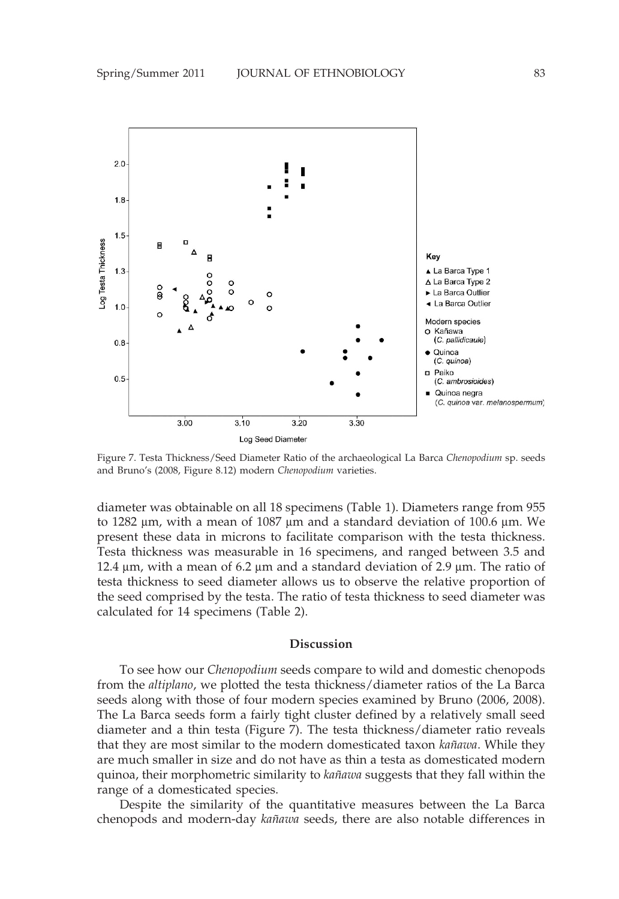

Figure 7. Testa Thickness/Seed Diameter Ratio of the archaeological La Barca Chenopodium sp. seeds and Bruno's (2008, Figure 8.12) modern Chenopodium varieties.

diameter was obtainable on all 18 specimens (Table 1). Diameters range from 955 to 1282  $\mu$ m, with a mean of 1087  $\mu$ m and a standard deviation of 100.6  $\mu$ m. We present these data in microns to facilitate comparison with the testa thickness. Testa thickness was measurable in 16 specimens, and ranged between 3.5 and 12.4  $\mu$ m, with a mean of 6.2  $\mu$ m and a standard deviation of 2.9  $\mu$ m. The ratio of testa thickness to seed diameter allows us to observe the relative proportion of the seed comprised by the testa. The ratio of testa thickness to seed diameter was calculated for 14 specimens (Table 2).

#### Discussion

To see how our Chenopodium seeds compare to wild and domestic chenopods from the altiplano, we plotted the testa thickness/diameter ratios of the La Barca seeds along with those of four modern species examined by Bruno (2006, 2008). The La Barca seeds form a fairly tight cluster defined by a relatively small seed diameter and a thin testa (Figure 7). The testa thickness/diameter ratio reveals that they are most similar to the modern domesticated taxon *kañawa*. While they are much smaller in size and do not have as thin a testa as domesticated modern quinoa, their morphometric similarity to *kañawa* suggests that they fall within the range of a domesticated species.

Despite the similarity of the quantitative measures between the La Barca chenopods and modern-day kañawa seeds, there are also notable differences in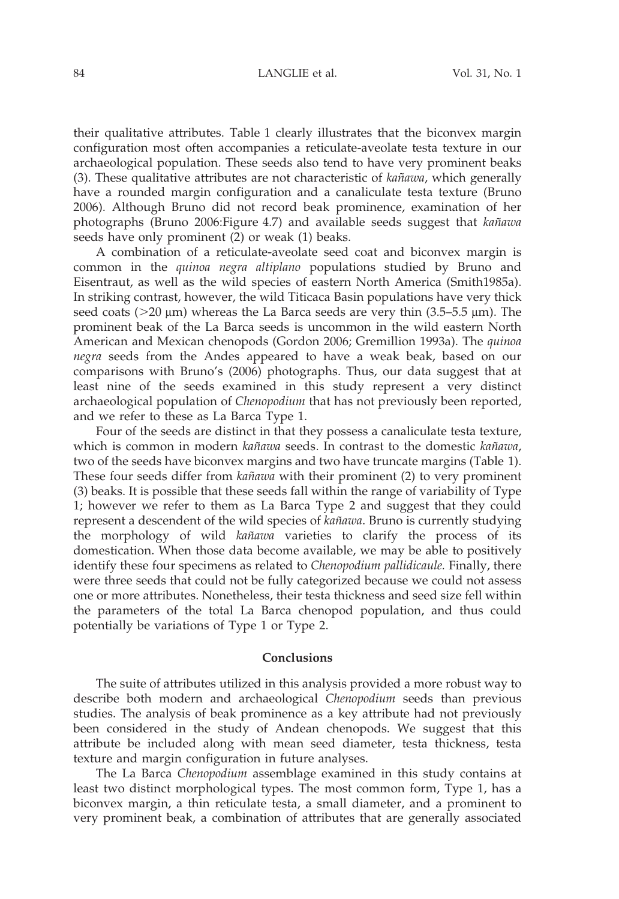## 84 LANGLIE et al. Vol. 31, No. 1

their qualitative attributes. Table 1 clearly illustrates that the biconvex margin configuration most often accompanies a reticulate-aveolate testa texture in our archaeological population. These seeds also tend to have very prominent beaks (3). These qualitative attributes are not characteristic of  $k$ añawa, which generally have a rounded margin configuration and a canaliculate testa texture (Bruno 2006). Although Bruno did not record beak prominence, examination of her photographs (Bruno 2006:Figure 4.7) and available seeds suggest that kañawa seeds have only prominent (2) or weak (1) beaks.

A combination of a reticulate-aveolate seed coat and biconvex margin is common in the quinoa negra altiplano populations studied by Bruno and Eisentraut, as well as the wild species of eastern North America (Smith1985a). In striking contrast, however, the wild Titicaca Basin populations have very thick seed coats ( $>20 \mu m$ ) whereas the La Barca seeds are very thin (3.5–5.5  $\mu$ m). The prominent beak of the La Barca seeds is uncommon in the wild eastern North American and Mexican chenopods (Gordon 2006; Gremillion 1993a). The quinoa negra seeds from the Andes appeared to have a weak beak, based on our comparisons with Bruno's (2006) photographs. Thus, our data suggest that at least nine of the seeds examined in this study represent a very distinct archaeological population of *Chenopodium* that has not previously been reported, and we refer to these as La Barca Type 1.

Four of the seeds are distinct in that they possess a canaliculate testa texture, which is common in modern kañawa seeds. In contrast to the domestic kañawa, two of the seeds have biconvex margins and two have truncate margins (Table 1). These four seeds differ from *kañawa* with their prominent (2) to very prominent (3) beaks. It is possible that these seeds fall within the range of variability of Type 1; however we refer to them as La Barca Type 2 and suggest that they could represent a descendent of the wild species of kañawa. Bruno is currently studying the morphology of wild kañawa varieties to clarify the process of its domestication. When those data become available, we may be able to positively identify these four specimens as related to Chenopodium pallidicaule. Finally, there were three seeds that could not be fully categorized because we could not assess one or more attributes. Nonetheless, their testa thickness and seed size fell within the parameters of the total La Barca chenopod population, and thus could potentially be variations of Type 1 or Type 2.

#### Conclusions

The suite of attributes utilized in this analysis provided a more robust way to describe both modern and archaeological Chenopodium seeds than previous studies. The analysis of beak prominence as a key attribute had not previously been considered in the study of Andean chenopods. We suggest that this attribute be included along with mean seed diameter, testa thickness, testa texture and margin configuration in future analyses.

The La Barca Chenopodium assemblage examined in this study contains at least two distinct morphological types. The most common form, Type 1, has a biconvex margin, a thin reticulate testa, a small diameter, and a prominent to very prominent beak, a combination of attributes that are generally associated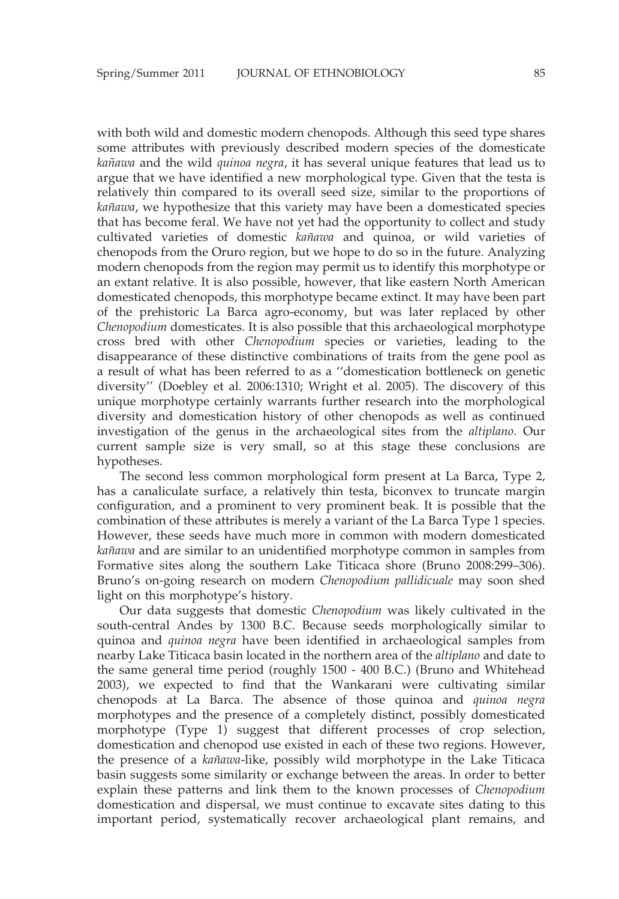with both wild and domestic modern chenopods. Although this seed type shares some attributes with previously described modern species of the domesticate kañawa and the wild quinoa negra, it has several unique features that lead us to argue that we have identified a new morphological type. Given that the testa is relatively thin compared to its overall seed size, similar to the proportions of kañawa, we hypothesize that this variety may have been a domesticated species that has become feral. We have not yet had the opportunity to collect and study cultivated varieties of domestic kañawa and quinoa, or wild varieties of chenopods from the Oruro region, but we hope to do so in the future. Analyzing modern chenopods from the region may permit us to identify this morphotype or an extant relative. It is also possible, however, that like eastern North American domesticated chenopods, this morphotype became extinct. It may have been part of the prehistoric La Barca agro-economy, but was later replaced by other Chenopodium domesticates. It is also possible that this archaeological morphotype cross bred with other Chenopodium species or varieties, leading to the disappearance of these distinctive combinations of traits from the gene pool as a result of what has been referred to as a ''domestication bottleneck on genetic diversity'' (Doebley et al. 2006:1310; Wright et al. 2005). The discovery of this unique morphotype certainly warrants further research into the morphological diversity and domestication history of other chenopods as well as continued investigation of the genus in the archaeological sites from the altiplano. Our current sample size is very small, so at this stage these conclusions are hypotheses.

The second less common morphological form present at La Barca, Type 2, has a canaliculate surface, a relatively thin testa, biconvex to truncate margin configuration, and a prominent to very prominent beak. It is possible that the combination of these attributes is merely a variant of the La Barca Type 1 species. However, these seeds have much more in common with modern domesticated kañawa and are similar to an unidentified morphotype common in samples from Formative sites along the southern Lake Titicaca shore (Bruno 2008:299–306). Bruno's on-going research on modern Chenopodium pallidicuale may soon shed light on this morphotype's history.

Our data suggests that domestic Chenopodium was likely cultivated in the south-central Andes by 1300 B.C. Because seeds morphologically similar to quinoa and quinoa negra have been identified in archaeological samples from nearby Lake Titicaca basin located in the northern area of the altiplano and date to the same general time period (roughly 1500 - 400 B.C.) (Bruno and Whitehead 2003), we expected to find that the Wankarani were cultivating similar chenopods at La Barca. The absence of those quinoa and quinoa negra morphotypes and the presence of a completely distinct, possibly domesticated morphotype (Type 1) suggest that different processes of crop selection, domestication and chenopod use existed in each of these two regions. However, the presence of a kañawa-like, possibly wild morphotype in the Lake Titicaca basin suggests some similarity or exchange between the areas. In order to better explain these patterns and link them to the known processes of Chenopodium domestication and dispersal, we must continue to excavate sites dating to this important period, systematically recover archaeological plant remains, and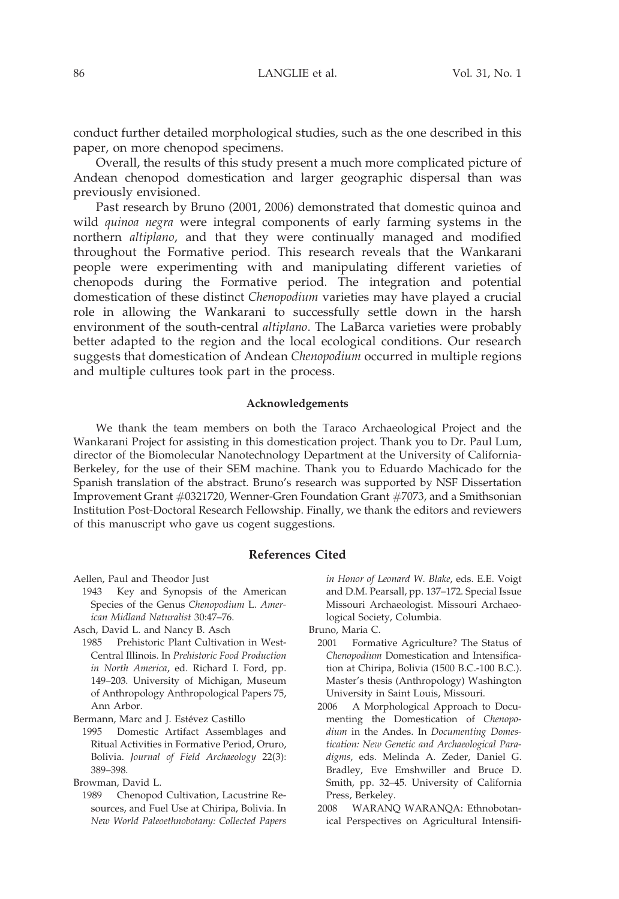conduct further detailed morphological studies, such as the one described in this paper, on more chenopod specimens.

Overall, the results of this study present a much more complicated picture of Andean chenopod domestication and larger geographic dispersal than was previously envisioned.

Past research by Bruno (2001, 2006) demonstrated that domestic quinoa and wild *quinoa negra* were integral components of early farming systems in the northern altiplano, and that they were continually managed and modified throughout the Formative period. This research reveals that the Wankarani people were experimenting with and manipulating different varieties of chenopods during the Formative period. The integration and potential domestication of these distinct Chenopodium varieties may have played a crucial role in allowing the Wankarani to successfully settle down in the harsh environment of the south-central *altiplano*. The LaBarca varieties were probably better adapted to the region and the local ecological conditions. Our research suggests that domestication of Andean Chenopodium occurred in multiple regions and multiple cultures took part in the process.

#### Acknowledgements

We thank the team members on both the Taraco Archaeological Project and the Wankarani Project for assisting in this domestication project. Thank you to Dr. Paul Lum, director of the Biomolecular Nanotechnology Department at the University of California-Berkeley, for the use of their SEM machine. Thank you to Eduardo Machicado for the Spanish translation of the abstract. Bruno's research was supported by NSF Dissertation Improvement Grant #0321720, Wenner-Gren Foundation Grant #7073, and a Smithsonian Institution Post-Doctoral Research Fellowship. Finally, we thank the editors and reviewers of this manuscript who gave us cogent suggestions.

#### References Cited

Aellen, Paul and Theodor Just

1943 Key and Synopsis of the American Species of the Genus Chenopodium L. American Midland Naturalist 30:47–76.

1985 Prehistoric Plant Cultivation in West-Central Illinois. In Prehistoric Food Production in North America, ed. Richard I. Ford, pp. 149–203. University of Michigan, Museum of Anthropology Anthropological Papers 75, Ann Arbor.

Bermann, Marc and J. Estévez Castillo

1995 Domestic Artifact Assemblages and Ritual Activities in Formative Period, Oruro, Bolivia. Journal of Field Archaeology 22(3): 389–398.

Browman, David L.

1989 Chenopod Cultivation, Lacustrine Resources, and Fuel Use at Chiripa, Bolivia. In New World Paleoethnobotany: Collected Papers in Honor of Leonard W. Blake, eds. E.E. Voigt and D.M. Pearsall, pp. 137–172. Special Issue Missouri Archaeologist. Missouri Archaeological Society, Columbia.

Bruno, Maria C.

- 2001 Formative Agriculture? The Status of Chenopodium Domestication and Intensification at Chiripa, Bolivia (1500 B.C.-100 B.C.). Master's thesis (Anthropology) Washington University in Saint Louis, Missouri.
- 2006 A Morphological Approach to Documenting the Domestication of Chenopodium in the Andes. In Documenting Domestication: New Genetic and Archaeological Paradigms, eds. Melinda A. Zeder, Daniel G. Bradley, Eve Emshwiller and Bruce D. Smith, pp. 32–45. University of California Press, Berkeley.
- 2008 WARANQ WARANQA: Ethnobotanical Perspectives on Agricultural Intensifi-

Asch, David L. and Nancy B. Asch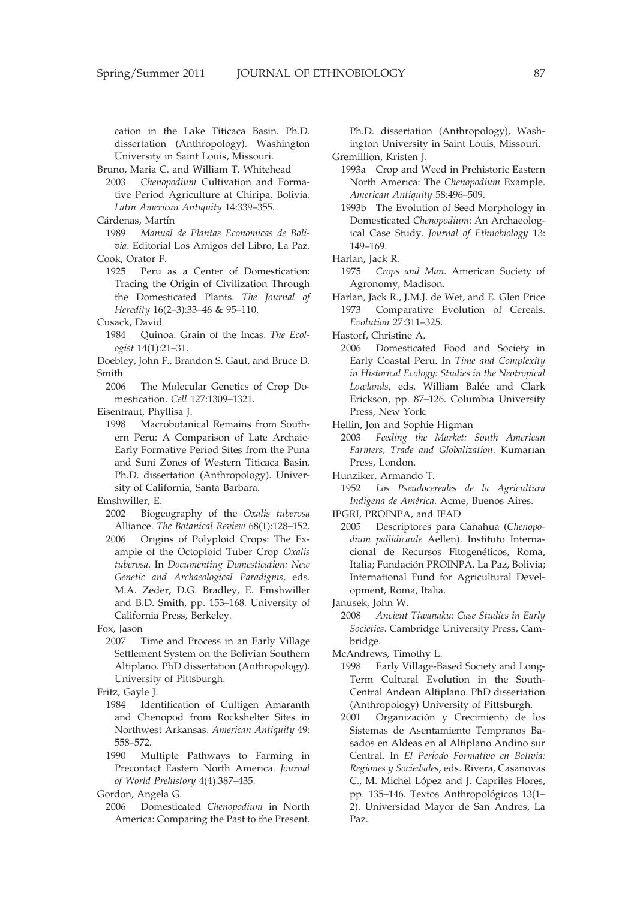cation in the Lake Titicaca Basin. Ph.D. dissertation (Anthropology). Washington University in Saint Louis, Missouri.

Bruno, Maria C. and William T. Whitehead

- 2003 Chenopodium Cultivation and Formative Period Agriculture at Chiripa, Bolivia. Latin American Antiquity 14:339–355.
- Cárdenas, Martín
- 1989 Manual de Plantas Economicas de Bolivia. Editorial Los Amigos del Libro, La Paz. Cook, Orator F.
- 1925 Peru as a Center of Domestication: Tracing the Origin of Civilization Through the Domesticated Plants. The Journal of Heredity 16(2–3):33–46 & 95–110.
- Cusack, David
	- 1984 Quinoa: Grain of the Incas. The Ecologist 14(1):21–31.
- Doebley, John F., Brandon S. Gaut, and Bruce D. Smith
- 2006 The Molecular Genetics of Crop Domestication. Cell 127:1309–1321.

Eisentraut, Phyllisa J.

1998 Macrobotanical Remains from Southern Peru: A Comparison of Late Archaic-Early Formative Period Sites from the Puna and Suni Zones of Western Titicaca Basin. Ph.D. dissertation (Anthropology). University of California, Santa Barbara.

Emshwiller, E.

- 2002 Biogeography of the Oxalis tuberosa Alliance. The Botanical Review 68(1):128–152.
- 2006 Origins of Polyploid Crops: The Example of the Octoploid Tuber Crop Oxalis tuberosa. In Documenting Domestication: New Genetic and Archaeological Paradigms, eds. M.A. Zeder, D.G. Bradley, E. Emshwiller and B.D. Smith, pp. 153–168. University of California Press, Berkeley.

Fox, Jason

2007 Time and Process in an Early Village Settlement System on the Bolivian Southern Altiplano. PhD dissertation (Anthropology). University of Pittsburgh.

Fritz, Gayle J.

- 1984 Identification of Cultigen Amaranth and Chenopod from Rockshelter Sites in Northwest Arkansas. American Antiquity 49: 558–572.
- 1990 Multiple Pathways to Farming in Precontact Eastern North America. Journal of World Prehistory 4(4):387–435.

Gordon, Angela G.

2006 Domesticated Chenopodium in North America: Comparing the Past to the Present.

Ph.D. dissertation (Anthropology), Washington University in Saint Louis, Missouri. Gremillion, Kristen J.

- 1993a Crop and Weed in Prehistoric Eastern North America: The Chenopodium Example. American Antiquity 58:496–509.
- 1993b The Evolution of Seed Morphology in Domesticated Chenopodium: An Archaeological Case Study. Journal of Ethnobiology 13: 149–169.

Harlan, Jack R.

- 1975 Crops and Man. American Society of Agronomy, Madison.
- Harlan, Jack R., J.M.J. de Wet, and E. Glen Price 1973 Comparative Evolution of Cereals. Evolution 27:311–325.

Hastorf, Christine A.

2006 Domesticated Food and Society in Early Coastal Peru. In Time and Complexity in Historical Ecology: Studies in the Neotropical Lowlands, eds. William Balée and Clark Erickson, pp. 87–126. Columbia University Press, New York.

Hellin, Jon and Sophie Higman

2003 Feeding the Market: South American Farmers, Trade and Globalization. Kumarian Press, London.

Hunziker, Armando T.

- 1952 Los Pseudocereales de la Agricultura Indígena de América. Acme, Buenos Aires.
- IPGRI, PROINPA, and IFAD
- 2005 Descriptores para Cañahua (Chenopodium pallidicaule Aellen). Instituto Internacional de Recursos Fitogenéticos, Roma, Italia; Fundación PROINPA, La Paz, Bolivia; International Fund for Agricultural Development, Roma, Italia.

Janusek, John W.

2008 Ancient Tiwanaku: Case Studies in Early Societies. Cambridge University Press, Cambridge.

McAndrews, Timothy L.

- 1998 Early Village-Based Society and Long-Term Cultural Evolution in the South-Central Andean Altiplano. PhD dissertation (Anthropology) University of Pittsburgh.
- 2001 Organización y Crecimiento de los Sistemas de Asentamiento Tempranos Basados en Aldeas en al Altiplano Andino sur Central. In El Período Formativo en Bolivia: Regiones y Sociedades, eds. Rivera, Casanovas C., M. Michel López and J. Capriles Flores, pp. 135–146. Textos Anthropológicos 13(1– 2). Universidad Mayor de San Andres, La Paz.